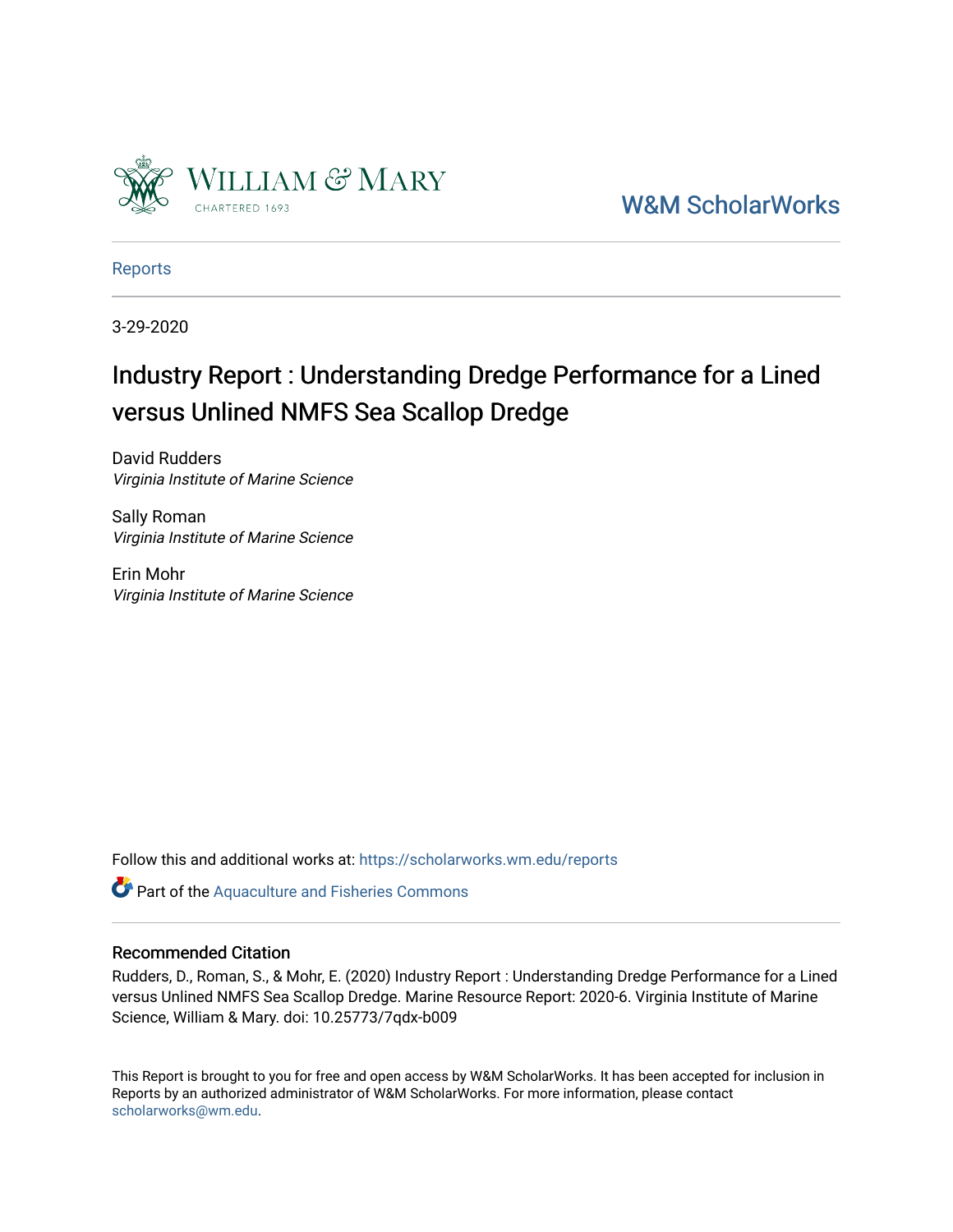

[W&M ScholarWorks](https://scholarworks.wm.edu/) 

[Reports](https://scholarworks.wm.edu/reports)

3-29-2020

# Industry Report : Understanding Dredge Performance for a Lined versus Unlined NMFS Sea Scallop Dredge

David Rudders Virginia Institute of Marine Science

Sally Roman Virginia Institute of Marine Science

Erin Mohr Virginia Institute of Marine Science

Follow this and additional works at: [https://scholarworks.wm.edu/reports](https://scholarworks.wm.edu/reports?utm_source=scholarworks.wm.edu%2Freports%2F2061&utm_medium=PDF&utm_campaign=PDFCoverPages)

Part of the [Aquaculture and Fisheries Commons](http://network.bepress.com/hgg/discipline/78?utm_source=scholarworks.wm.edu%2Freports%2F2061&utm_medium=PDF&utm_campaign=PDFCoverPages)

#### Recommended Citation

Rudders, D., Roman, S., & Mohr, E. (2020) Industry Report : Understanding Dredge Performance for a Lined versus Unlined NMFS Sea Scallop Dredge. Marine Resource Report: 2020-6. Virginia Institute of Marine Science, William & Mary. doi: 10.25773/7qdx-b009

This Report is brought to you for free and open access by W&M ScholarWorks. It has been accepted for inclusion in Reports by an authorized administrator of W&M ScholarWorks. For more information, please contact [scholarworks@wm.edu.](mailto:scholarworks@wm.edu)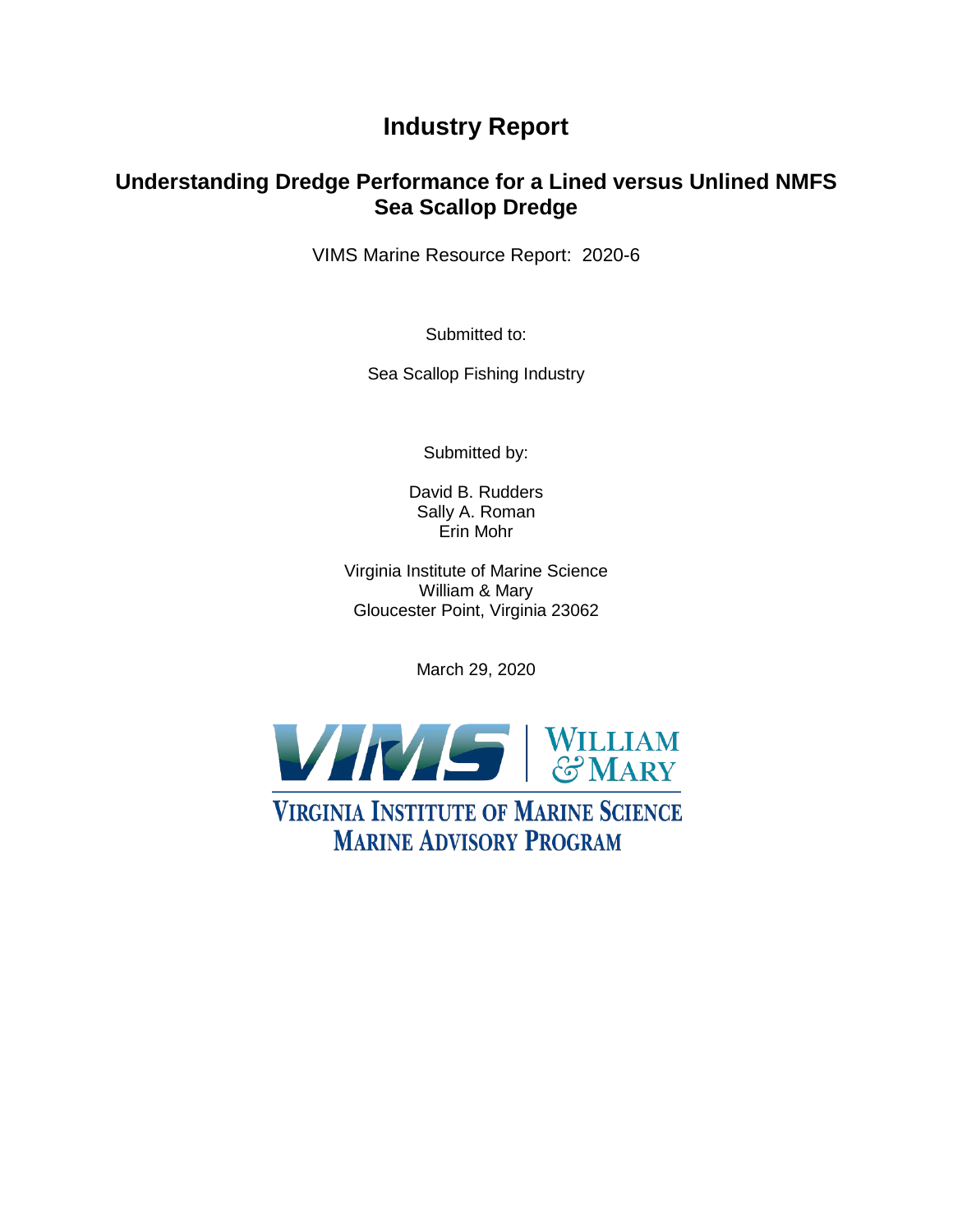## **Industry Report**

## **Understanding Dredge Performance for a Lined versus Unlined NMFS Sea Scallop Dredge**

VIMS Marine Resource Report: 2020-6

Submitted to:

Sea Scallop Fishing Industry

Submitted by:

David B. Rudders Sally A. Roman Erin Mohr

Virginia Institute of Marine Science William & Mary Gloucester Point, Virginia 23062

March 29, 2020



**VIRGINIA INSTITUTE OF MARINE SCIENCE MARINE ADVISORY PROGRAM**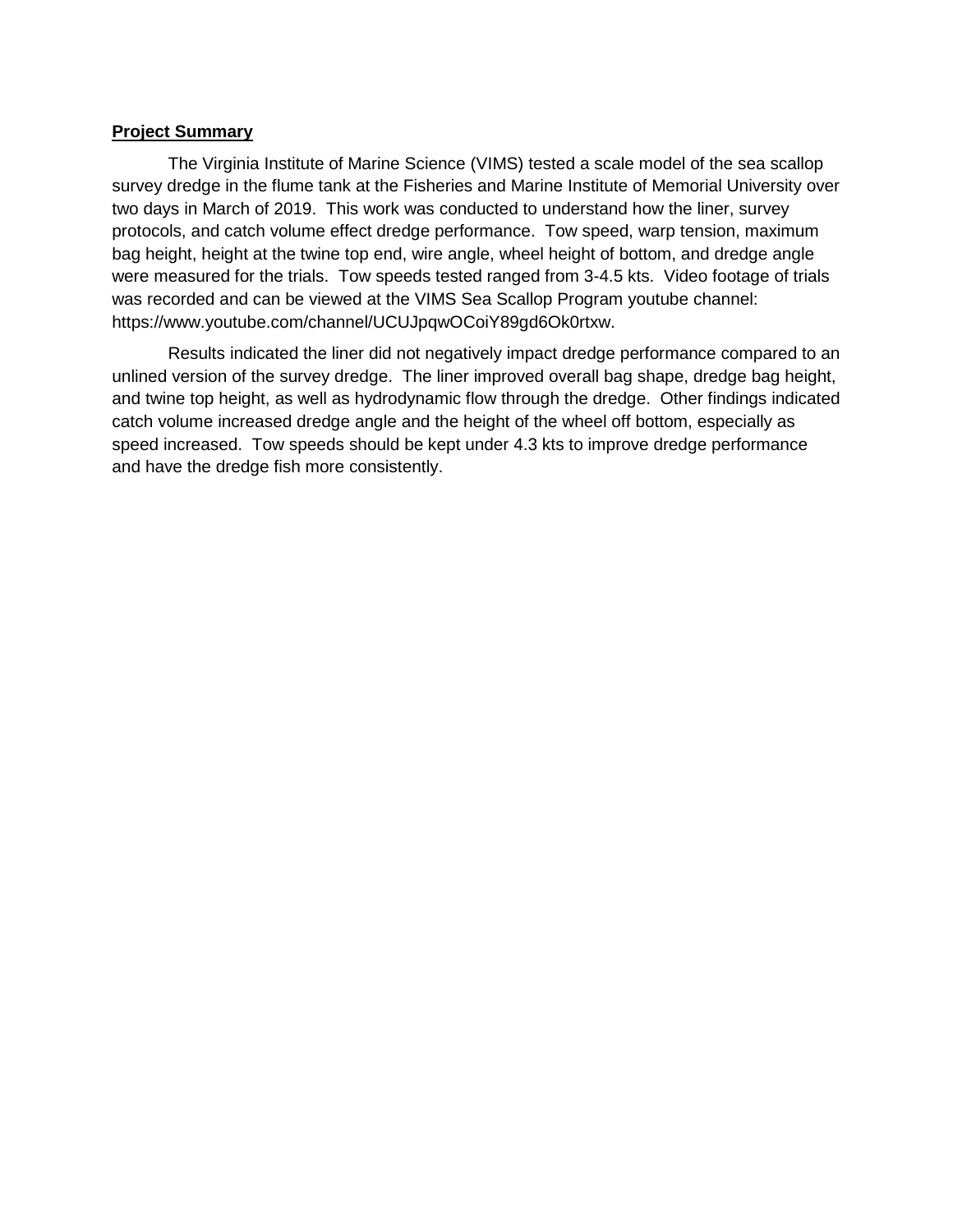#### **Project Summary**

The Virginia Institute of Marine Science (VIMS) tested a scale model of the sea scallop survey dredge in the flume tank at the Fisheries and Marine Institute of Memorial University over two days in March of 2019. This work was conducted to understand how the liner, survey protocols, and catch volume effect dredge performance. Tow speed, warp tension, maximum bag height, height at the twine top end, wire angle, wheel height of bottom, and dredge angle were measured for the trials. Tow speeds tested ranged from 3-4.5 kts. Video footage of trials was recorded and can be viewed at the VIMS Sea Scallop Program youtube channel: https://www.youtube.com/channel/UCUJpqwOCoiY89gd6Ok0rtxw.

Results indicated the liner did not negatively impact dredge performance compared to an unlined version of the survey dredge. The liner improved overall bag shape, dredge bag height, and twine top height, as well as hydrodynamic flow through the dredge. Other findings indicated catch volume increased dredge angle and the height of the wheel off bottom, especially as speed increased. Tow speeds should be kept under 4.3 kts to improve dredge performance and have the dredge fish more consistently.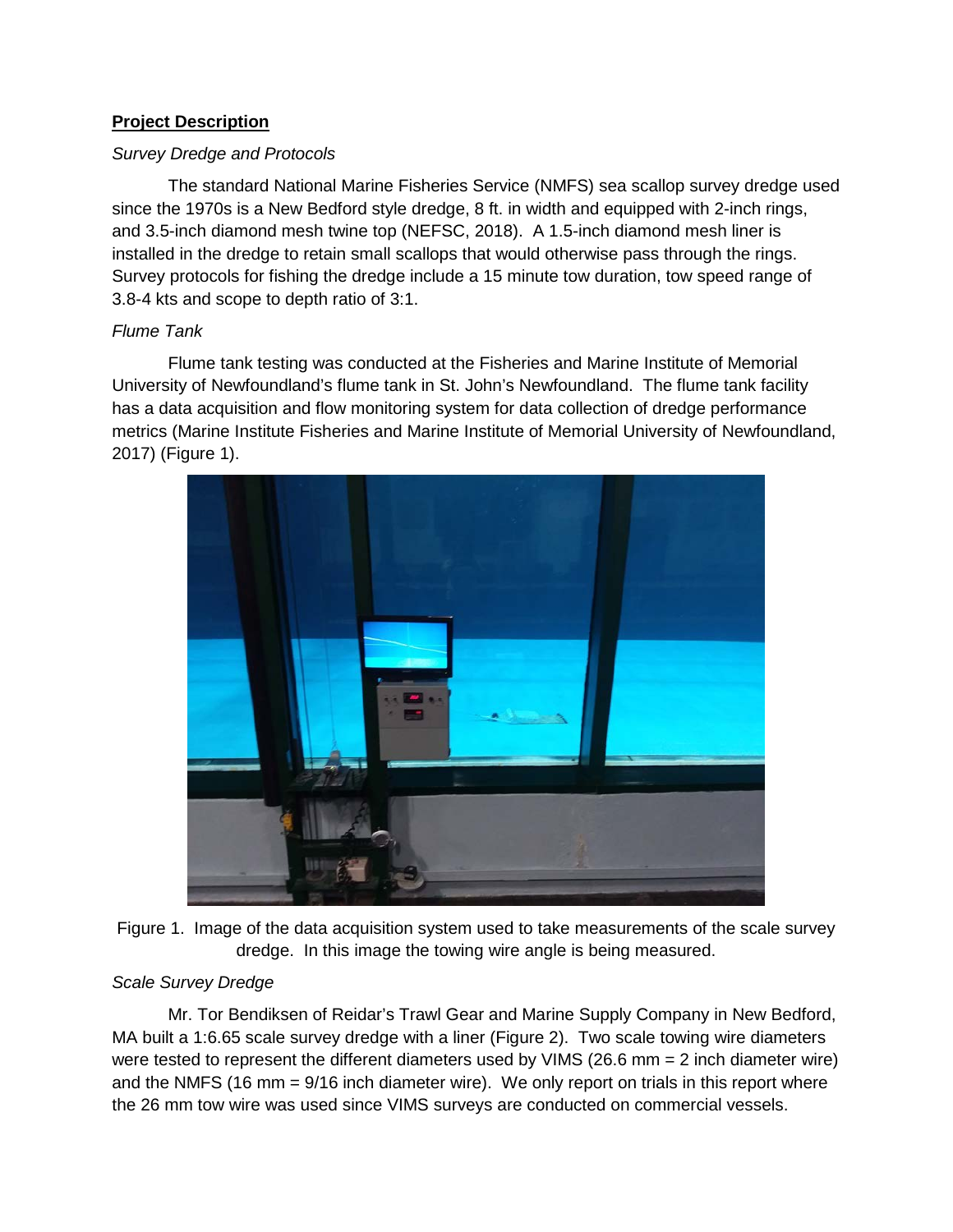## **Project Description**

#### *Survey Dredge and Protocols*

The standard National Marine Fisheries Service (NMFS) sea scallop survey dredge used since the 1970s is a New Bedford style dredge, 8 ft. in width and equipped with 2-inch rings, and 3.5-inch diamond mesh twine top (NEFSC, 2018). A 1.5-inch diamond mesh liner is installed in the dredge to retain small scallops that would otherwise pass through the rings. Survey protocols for fishing the dredge include a 15 minute tow duration, tow speed range of 3.8-4 kts and scope to depth ratio of 3:1.

## *Flume Tank*

Flume tank testing was conducted at the Fisheries and Marine Institute of Memorial University of Newfoundland's flume tank in St. John's Newfoundland. The flume tank facility has a data acquisition and flow monitoring system for data collection of dredge performance metrics (Marine Institute Fisheries and Marine Institute of Memorial University of Newfoundland, 2017) (Figure 1).



Figure 1. Image of the data acquisition system used to take measurements of the scale survey dredge. In this image the towing wire angle is being measured.

## *Scale Survey Dredge*

Mr. Tor Bendiksen of Reidar's Trawl Gear and Marine Supply Company in New Bedford, MA built a 1:6.65 scale survey dredge with a liner (Figure 2). Two scale towing wire diameters were tested to represent the different diameters used by VIMS (26.6 mm = 2 inch diameter wire) and the NMFS (16 mm = 9/16 inch diameter wire). We only report on trials in this report where the 26 mm tow wire was used since VIMS surveys are conducted on commercial vessels.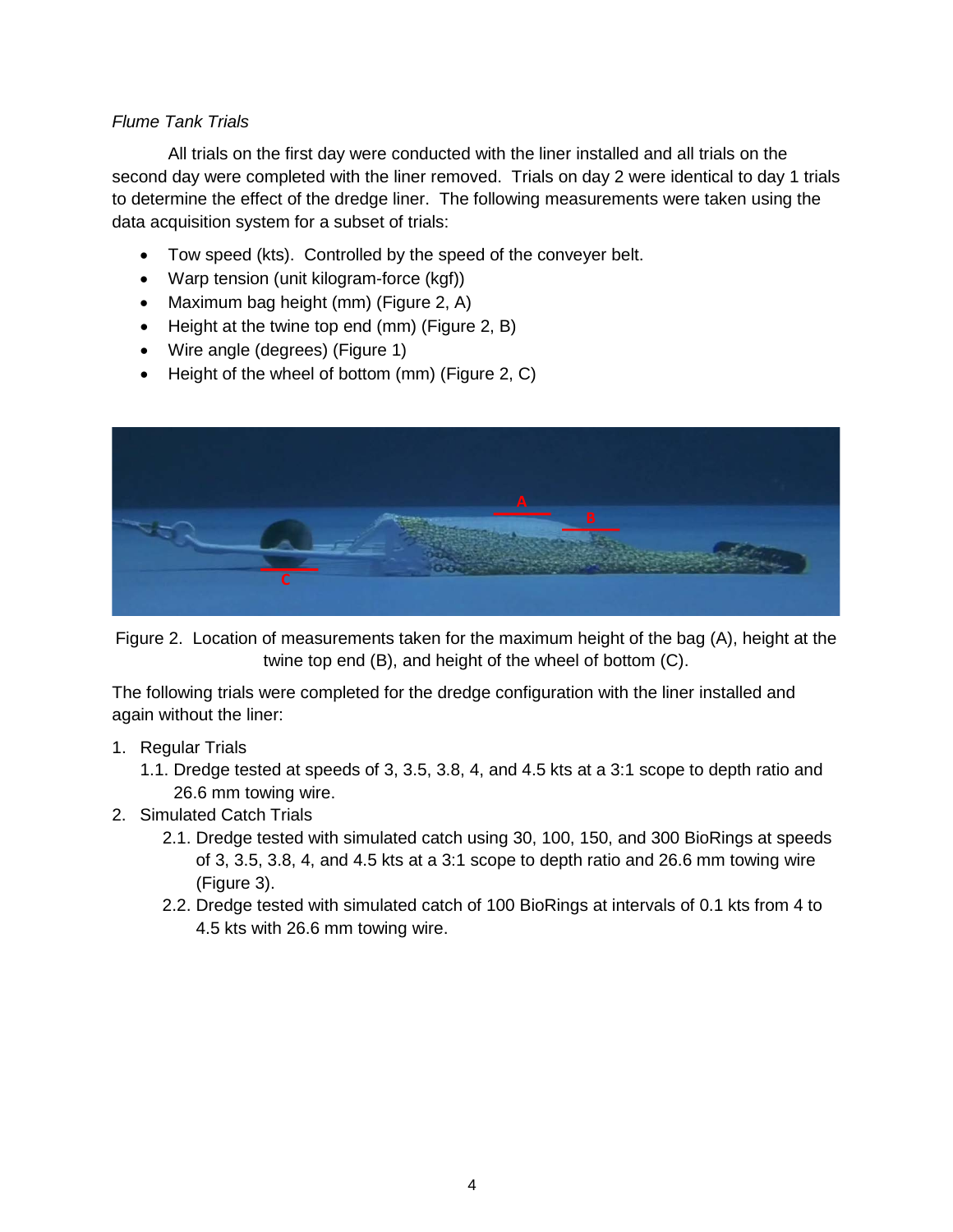## *Flume Tank Trials*

All trials on the first day were conducted with the liner installed and all trials on the second day were completed with the liner removed. Trials on day 2 were identical to day 1 trials to determine the effect of the dredge liner. The following measurements were taken using the data acquisition system for a subset of trials:

- Tow speed (kts). Controlled by the speed of the conveyer belt.
- Warp tension (unit kilogram-force (kgf))
- Maximum bag height (mm) (Figure 2, A)
- Height at the twine top end (mm) (Figure 2, B)
- Wire angle (degrees) (Figure 1)
- Height of the wheel of bottom (mm) (Figure 2, C)



Figure 2. Location of measurements taken for the maximum height of the bag (A), height at the twine top end (B), and height of the wheel of bottom (C).

The following trials were completed for the dredge configuration with the liner installed and again without the liner:

- 1. Regular Trials
	- 1.1. Dredge tested at speeds of 3, 3.5, 3.8, 4, and 4.5 kts at a 3:1 scope to depth ratio and 26.6 mm towing wire.
- 2. Simulated Catch Trials
	- 2.1. Dredge tested with simulated catch using 30, 100, 150, and 300 BioRings at speeds of 3, 3.5, 3.8, 4, and 4.5 kts at a 3:1 scope to depth ratio and 26.6 mm towing wire (Figure 3).
	- 2.2. Dredge tested with simulated catch of 100 BioRings at intervals of 0.1 kts from 4 to 4.5 kts with 26.6 mm towing wire.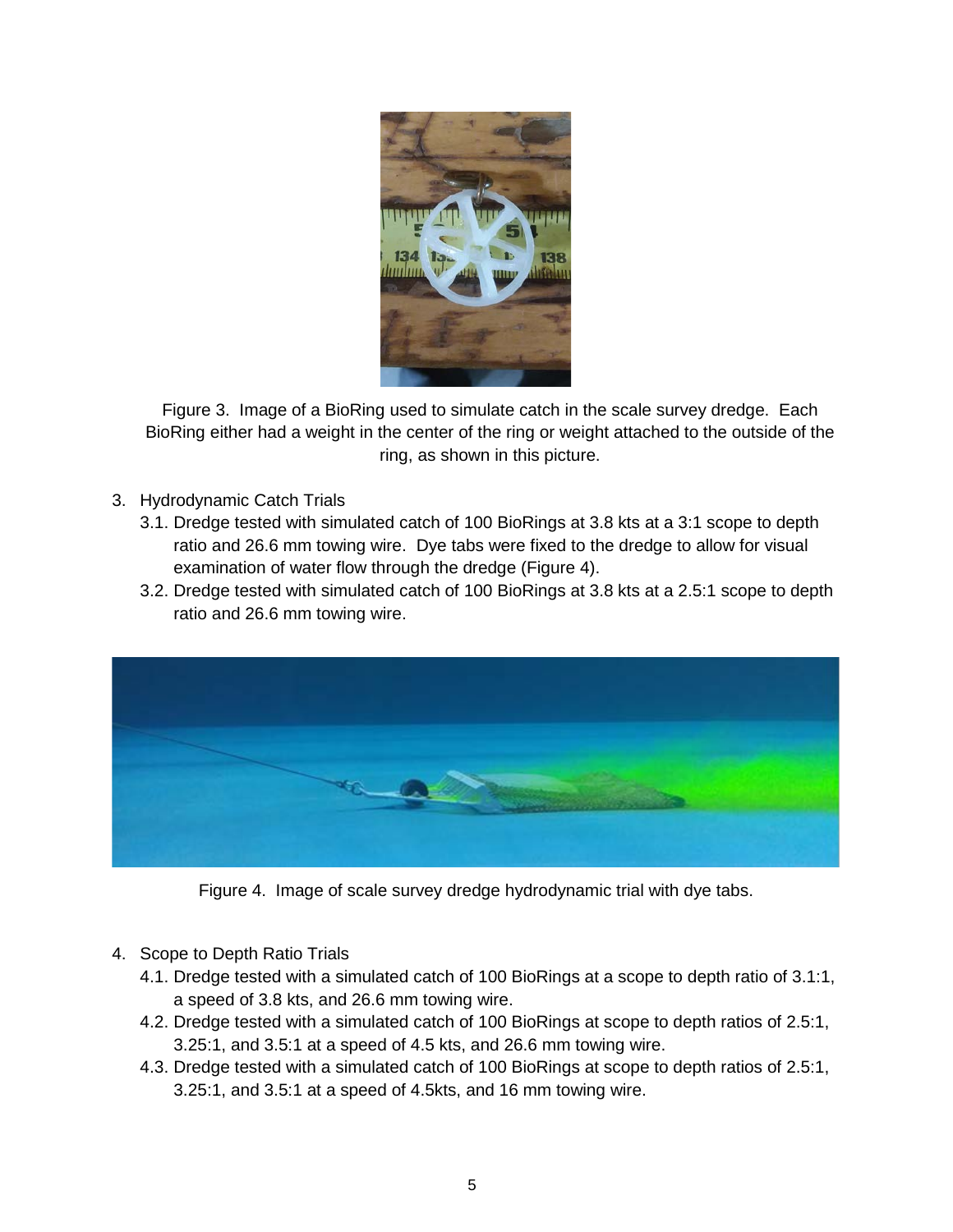

Figure 3. Image of a BioRing used to simulate catch in the scale survey dredge. Each BioRing either had a weight in the center of the ring or weight attached to the outside of the ring, as shown in this picture.

- 3. Hydrodynamic Catch Trials
	- 3.1. Dredge tested with simulated catch of 100 BioRings at 3.8 kts at a 3:1 scope to depth ratio and 26.6 mm towing wire. Dye tabs were fixed to the dredge to allow for visual examination of water flow through the dredge (Figure 4).
	- 3.2. Dredge tested with simulated catch of 100 BioRings at 3.8 kts at a 2.5:1 scope to depth ratio and 26.6 mm towing wire.



Figure 4. Image of scale survey dredge hydrodynamic trial with dye tabs.

- 4. Scope to Depth Ratio Trials
	- 4.1. Dredge tested with a simulated catch of 100 BioRings at a scope to depth ratio of 3.1:1, a speed of 3.8 kts, and 26.6 mm towing wire.
	- 4.2. Dredge tested with a simulated catch of 100 BioRings at scope to depth ratios of 2.5:1, 3.25:1, and 3.5:1 at a speed of 4.5 kts, and 26.6 mm towing wire.
	- 4.3. Dredge tested with a simulated catch of 100 BioRings at scope to depth ratios of 2.5:1, 3.25:1, and 3.5:1 at a speed of 4.5kts, and 16 mm towing wire.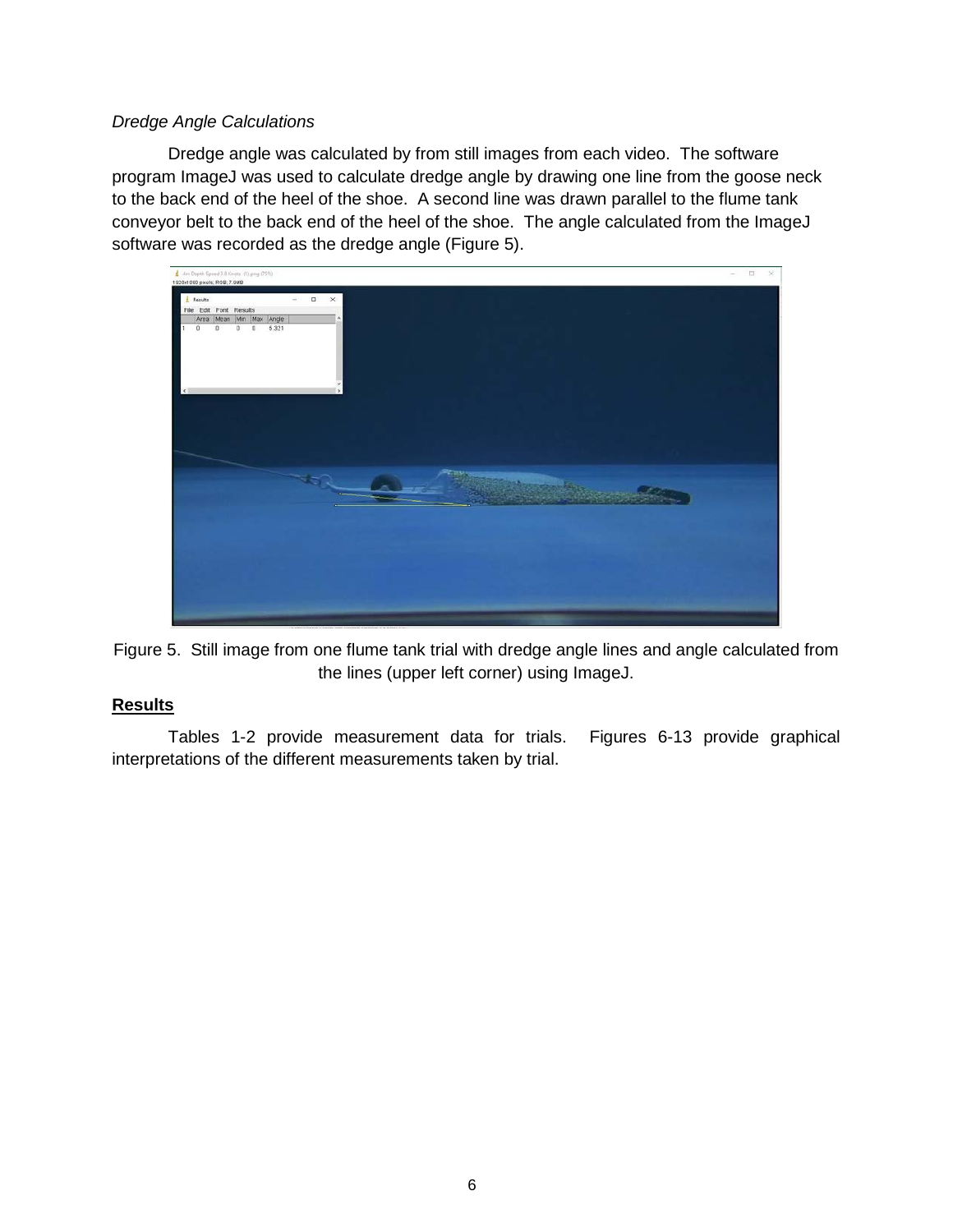## *Dredge Angle Calculations*

Dredge angle was calculated by from still images from each video. The software program ImageJ was used to calculate dredge angle by drawing one line from the goose neck to the back end of the heel of the shoe. A second line was drawn parallel to the flume tank conveyor belt to the back end of the heel of the shoe. The angle calculated from the ImageJ software was recorded as the dredge angle (Figure 5).



Figure 5. Still image from one flume tank trial with dredge angle lines and angle calculated from the lines (upper left corner) using ImageJ.

## **Results**

Tables 1-2 provide measurement data for trials. Figures 6-13 provide graphical interpretations of the different measurements taken by trial.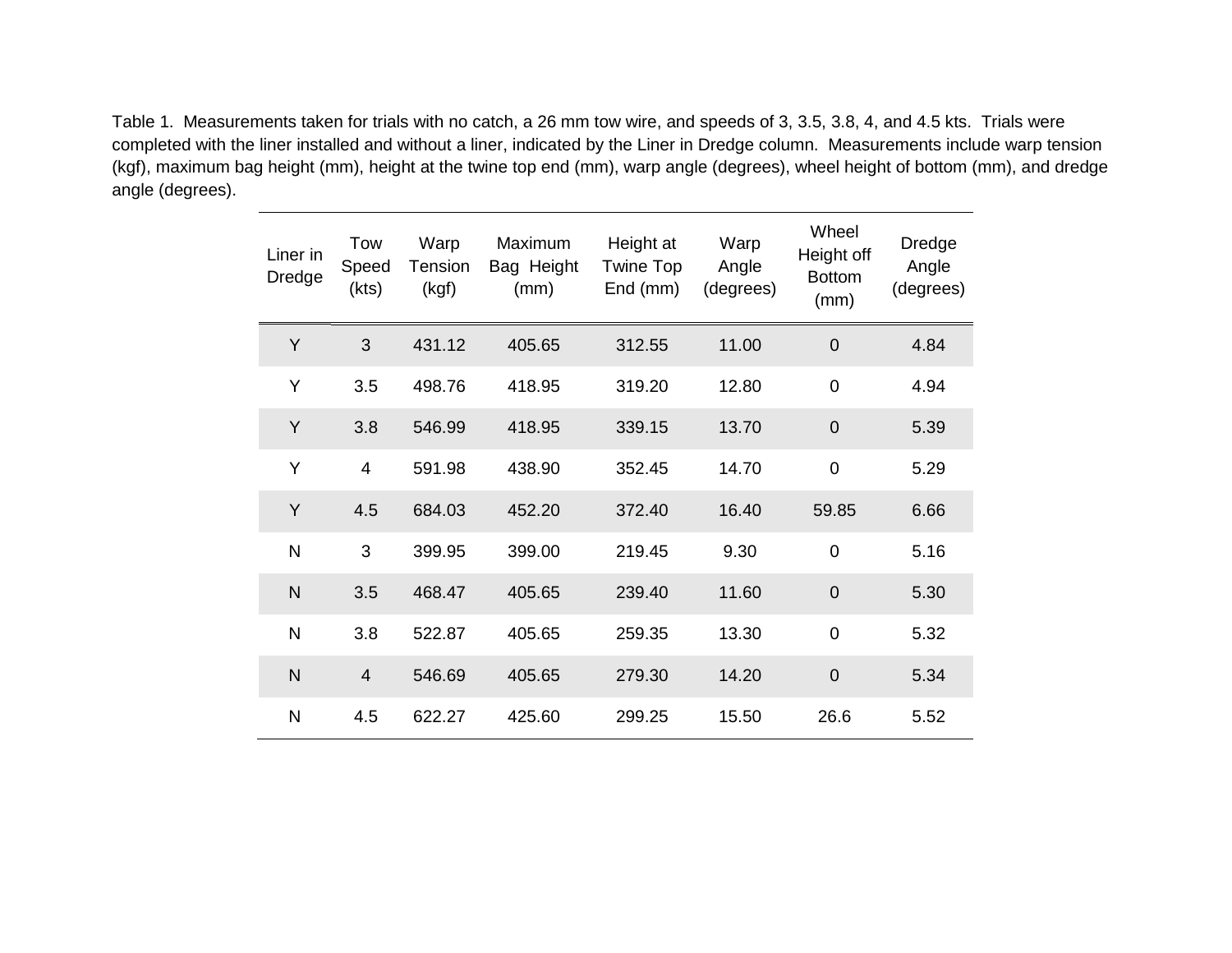Table 1. Measurements taken for trials with no catch, a 26 mm tow wire, and speeds of 3, 3.5, 3.8, 4, and 4.5 kts. Trials were completed with the liner installed and without a liner, indicated by the Liner in Dredge column. Measurements include warp tension (kgf), maximum bag height (mm), height at the twine top end (mm), warp angle (degrees), wheel height of bottom (mm), and dredge angle (degrees).

| Liner in<br>Dredge | Tow<br>Speed<br>(kts) | Warp<br>Tension<br>(kgf) | Maximum<br>Bag Height<br>(mm) | Height at<br>Twine Top<br>End (mm) | Warp<br>Angle<br>(degrees) | Wheel<br>Height off<br><b>Bottom</b><br>(mm) | Dredge<br>Angle<br>(degrees) |
|--------------------|-----------------------|--------------------------|-------------------------------|------------------------------------|----------------------------|----------------------------------------------|------------------------------|
| Y                  | 3                     | 431.12                   | 405.65                        | 312.55                             | 11.00                      | $\mathbf 0$                                  | 4.84                         |
| Y                  | 3.5                   | 498.76                   | 418.95                        | 319.20                             | 12.80                      | $\mathbf 0$                                  | 4.94                         |
| Y                  | 3.8                   | 546.99                   | 418.95                        | 339.15                             | 13.70                      | $\mathbf 0$                                  | 5.39                         |
| Υ                  | $\overline{4}$        | 591.98                   | 438.90                        | 352.45                             | 14.70                      | $\mathbf 0$                                  | 5.29                         |
| Y                  | 4.5                   | 684.03                   | 452.20                        | 372.40                             | 16.40                      | 59.85                                        | 6.66                         |
| $\mathsf{N}$       | 3                     | 399.95                   | 399.00                        | 219.45                             | 9.30                       | $\mathbf 0$                                  | 5.16                         |
| $\mathsf{N}$       | 3.5                   | 468.47                   | 405.65                        | 239.40                             | 11.60                      | $\mathbf 0$                                  | 5.30                         |
| N                  | 3.8                   | 522.87                   | 405.65                        | 259.35                             | 13.30                      | $\mathbf 0$                                  | 5.32                         |
| $\mathsf{N}$       | $\overline{4}$        | 546.69                   | 405.65                        | 279.30                             | 14.20                      | $\mathbf 0$                                  | 5.34                         |
| N                  | 4.5                   | 622.27                   | 425.60                        | 299.25                             | 15.50                      | 26.6                                         | 5.52                         |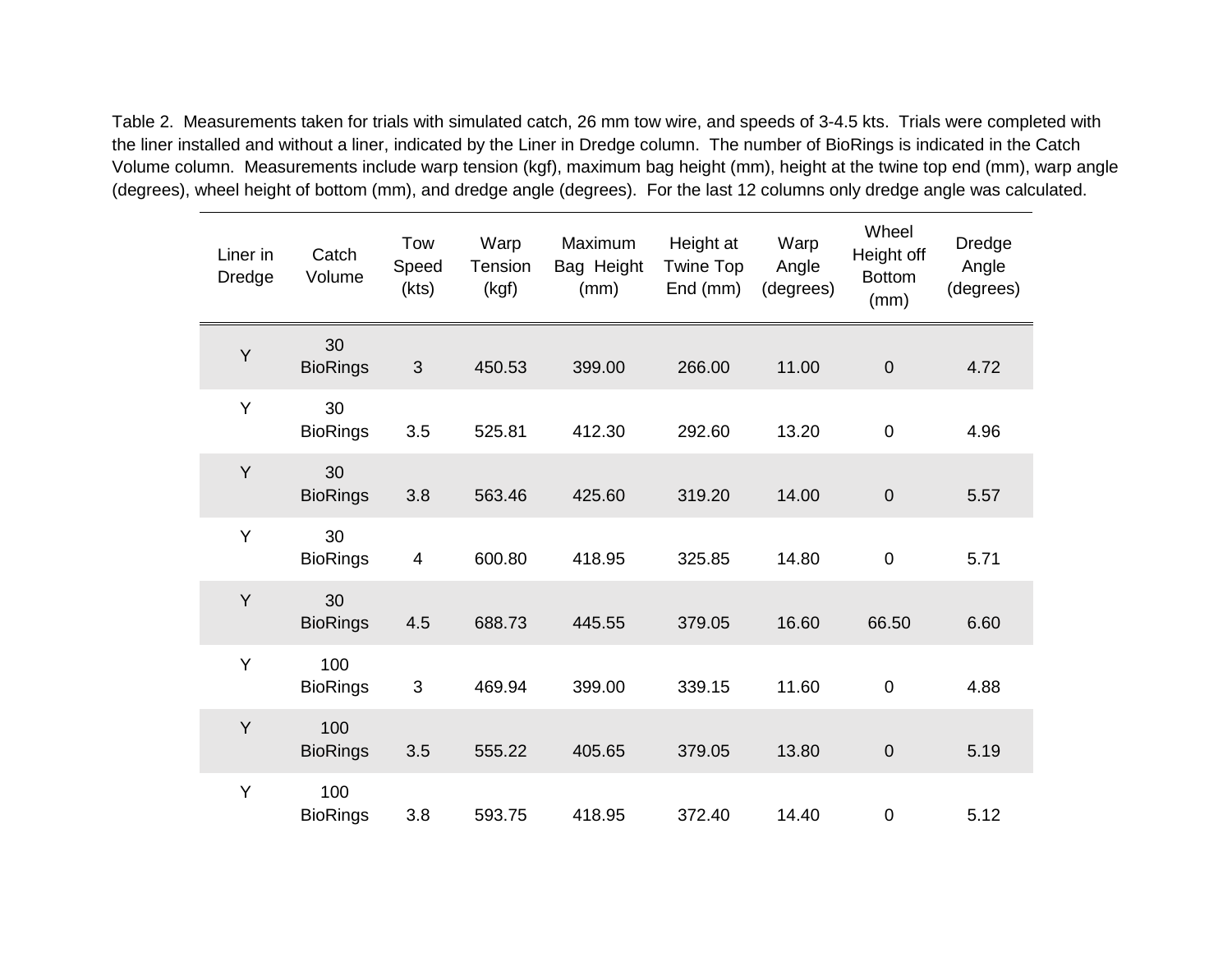Table 2. Measurements taken for trials with simulated catch, 26 mm tow wire, and speeds of 3-4.5 kts. Trials were completed with the liner installed and without a liner, indicated by the Liner in Dredge column. The number of BioRings is indicated in the Catch Volume column. Measurements include warp tension (kgf), maximum bag height (mm), height at the twine top end (mm), warp angle (degrees), wheel height of bottom (mm), and dredge angle (degrees). For the last 12 columns only dredge angle was calculated.

| Liner in<br><b>Dredge</b> | Catch<br>Volume        | Tow<br>Speed<br>(kts) | Warp<br>Tension<br>(kgf) | Maximum<br>Bag Height<br>(mm) | Height at<br><b>Twine Top</b><br>End (mm) | Warp<br>Angle<br>(degrees) | Wheel<br>Height off<br><b>Bottom</b><br>(mm) | Dredge<br>Angle<br>(degrees) |
|---------------------------|------------------------|-----------------------|--------------------------|-------------------------------|-------------------------------------------|----------------------------|----------------------------------------------|------------------------------|
| Y                         | 30<br><b>BioRings</b>  | $\mathfrak{B}$        | 450.53                   | 399.00                        | 266.00                                    | 11.00                      | $\boldsymbol{0}$                             | 4.72                         |
| Y                         | 30<br><b>BioRings</b>  | 3.5                   | 525.81                   | 412.30                        | 292.60                                    | 13.20                      | $\mathbf 0$                                  | 4.96                         |
| Y                         | 30<br><b>BioRings</b>  | 3.8                   | 563.46                   | 425.60                        | 319.20                                    | 14.00                      | $\overline{0}$                               | 5.57                         |
| Y                         | 30<br><b>BioRings</b>  | 4                     | 600.80                   | 418.95                        | 325.85                                    | 14.80                      | $\mathbf 0$                                  | 5.71                         |
| Y                         | 30<br><b>BioRings</b>  | 4.5                   | 688.73                   | 445.55                        | 379.05                                    | 16.60                      | 66.50                                        | 6.60                         |
| Y                         | 100<br><b>BioRings</b> | $\sqrt{3}$            | 469.94                   | 399.00                        | 339.15                                    | 11.60                      | $\mathbf 0$                                  | 4.88                         |
| Y                         | 100<br><b>BioRings</b> | 3.5                   | 555.22                   | 405.65                        | 379.05                                    | 13.80                      | $\boldsymbol{0}$                             | 5.19                         |
| Y                         | 100<br><b>BioRings</b> | 3.8                   | 593.75                   | 418.95                        | 372.40                                    | 14.40                      | $\mathbf 0$                                  | 5.12                         |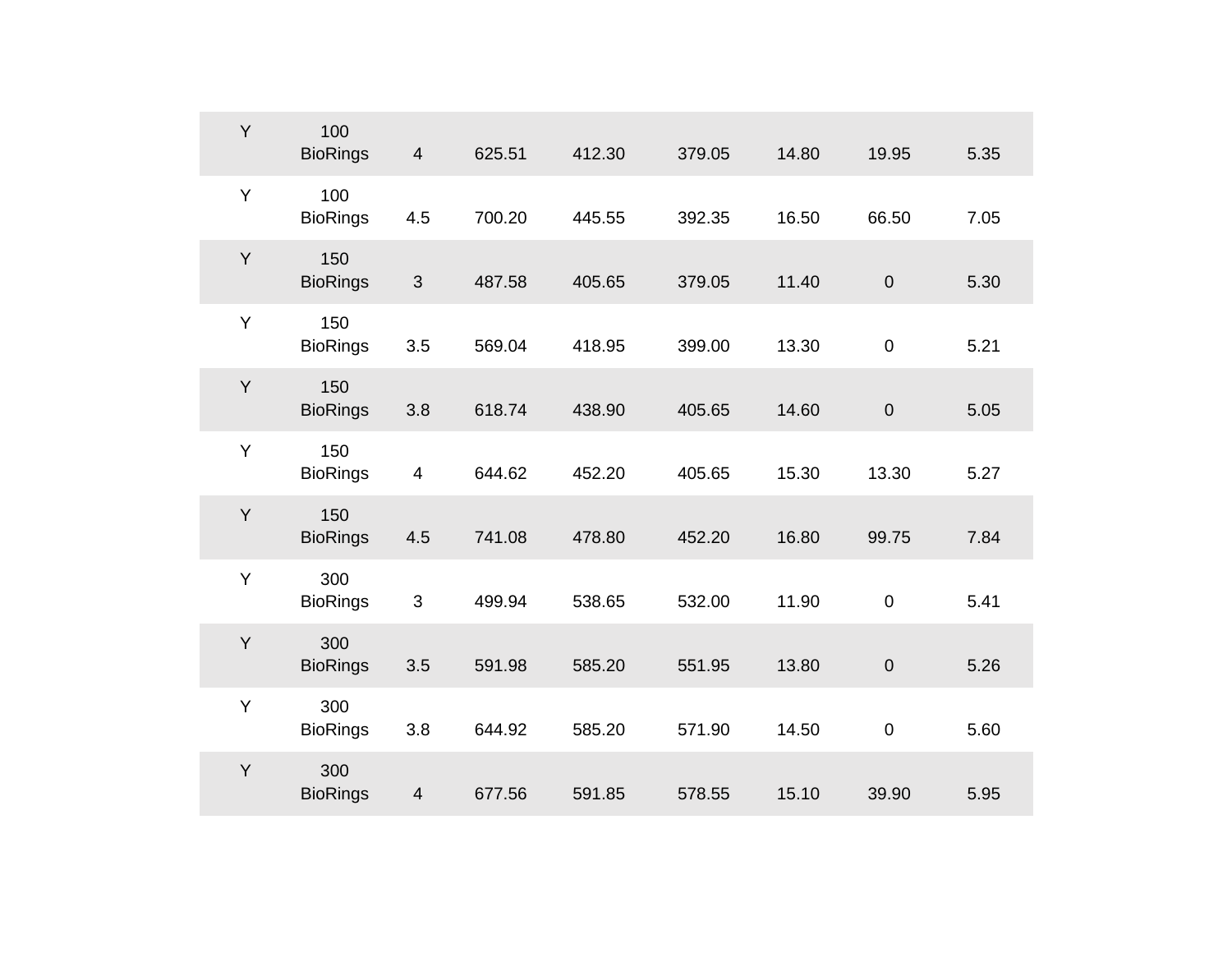| Y | 100<br><b>BioRings</b> | $\overline{4}$          | 625.51 | 412.30 | 379.05 | 14.80 | 19.95            | 5.35 |
|---|------------------------|-------------------------|--------|--------|--------|-------|------------------|------|
| Y | 100<br><b>BioRings</b> | 4.5                     | 700.20 | 445.55 | 392.35 | 16.50 | 66.50            | 7.05 |
| Y | 150<br><b>BioRings</b> | $\mathfrak{B}$          | 487.58 | 405.65 | 379.05 | 11.40 | $\boldsymbol{0}$ | 5.30 |
| Y | 150<br><b>BioRings</b> | 3.5                     | 569.04 | 418.95 | 399.00 | 13.30 | $\boldsymbol{0}$ | 5.21 |
| Y | 150<br><b>BioRings</b> | 3.8                     | 618.74 | 438.90 | 405.65 | 14.60 | $\pmb{0}$        | 5.05 |
| Y | 150<br><b>BioRings</b> | $\overline{\mathbf{4}}$ | 644.62 | 452.20 | 405.65 | 15.30 | 13.30            | 5.27 |
| Y | 150<br><b>BioRings</b> | 4.5                     | 741.08 | 478.80 | 452.20 | 16.80 | 99.75            | 7.84 |
| Y | 300<br><b>BioRings</b> | $\mathfrak{B}$          | 499.94 | 538.65 | 532.00 | 11.90 | $\mathbf 0$      | 5.41 |
| Y | 300<br><b>BioRings</b> | 3.5                     | 591.98 | 585.20 | 551.95 | 13.80 | $\boldsymbol{0}$ | 5.26 |
| Y | 300<br><b>BioRings</b> | 3.8                     | 644.92 | 585.20 | 571.90 | 14.50 | $\pmb{0}$        | 5.60 |
| Y | 300<br><b>BioRings</b> | $\overline{\mathbf{4}}$ | 677.56 | 591.85 | 578.55 | 15.10 | 39.90            | 5.95 |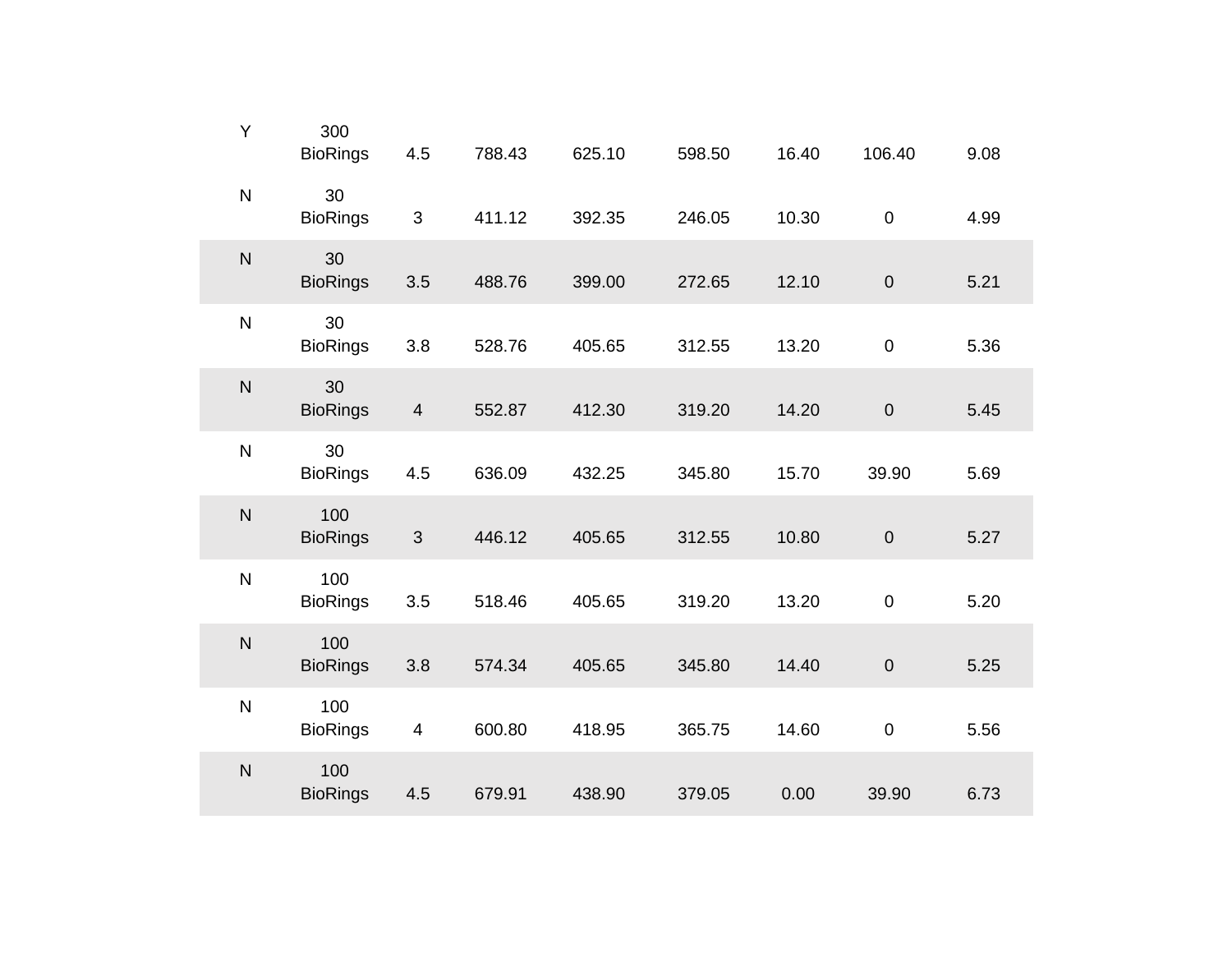| Υ            | 300<br><b>BioRings</b> | 4.5                     | 788.43 | 625.10 | 598.50 | 16.40 | 106.40           | 9.08 |
|--------------|------------------------|-------------------------|--------|--------|--------|-------|------------------|------|
| ${\sf N}$    | 30<br><b>BioRings</b>  | $\mathfrak{S}$          | 411.12 | 392.35 | 246.05 | 10.30 | $\pmb{0}$        | 4.99 |
| $\mathsf{N}$ | 30<br><b>BioRings</b>  | 3.5                     | 488.76 | 399.00 | 272.65 | 12.10 | $\pmb{0}$        | 5.21 |
| ${\sf N}$    | 30<br><b>BioRings</b>  | 3.8                     | 528.76 | 405.65 | 312.55 | 13.20 | $\pmb{0}$        | 5.36 |
| $\mathsf{N}$ | 30<br><b>BioRings</b>  | $\overline{4}$          | 552.87 | 412.30 | 319.20 | 14.20 | $\pmb{0}$        | 5.45 |
| ${\sf N}$    | 30<br><b>BioRings</b>  | 4.5                     | 636.09 | 432.25 | 345.80 | 15.70 | 39.90            | 5.69 |
| $\mathsf{N}$ | 100<br><b>BioRings</b> | $\mathbf{3}$            | 446.12 | 405.65 | 312.55 | 10.80 | $\boldsymbol{0}$ | 5.27 |
| $\mathsf{N}$ | 100<br><b>BioRings</b> | 3.5                     | 518.46 | 405.65 | 319.20 | 13.20 | $\mathbf 0$      | 5.20 |
| $\mathsf{N}$ | 100<br><b>BioRings</b> | 3.8                     | 574.34 | 405.65 | 345.80 | 14.40 | $\pmb{0}$        | 5.25 |
| $\mathsf{N}$ | 100<br><b>BioRings</b> | $\overline{\mathbf{4}}$ | 600.80 | 418.95 | 365.75 | 14.60 | $\boldsymbol{0}$ | 5.56 |
| $\mathsf{N}$ | 100<br><b>BioRings</b> | 4.5                     | 679.91 | 438.90 | 379.05 | 0.00  | 39.90            | 6.73 |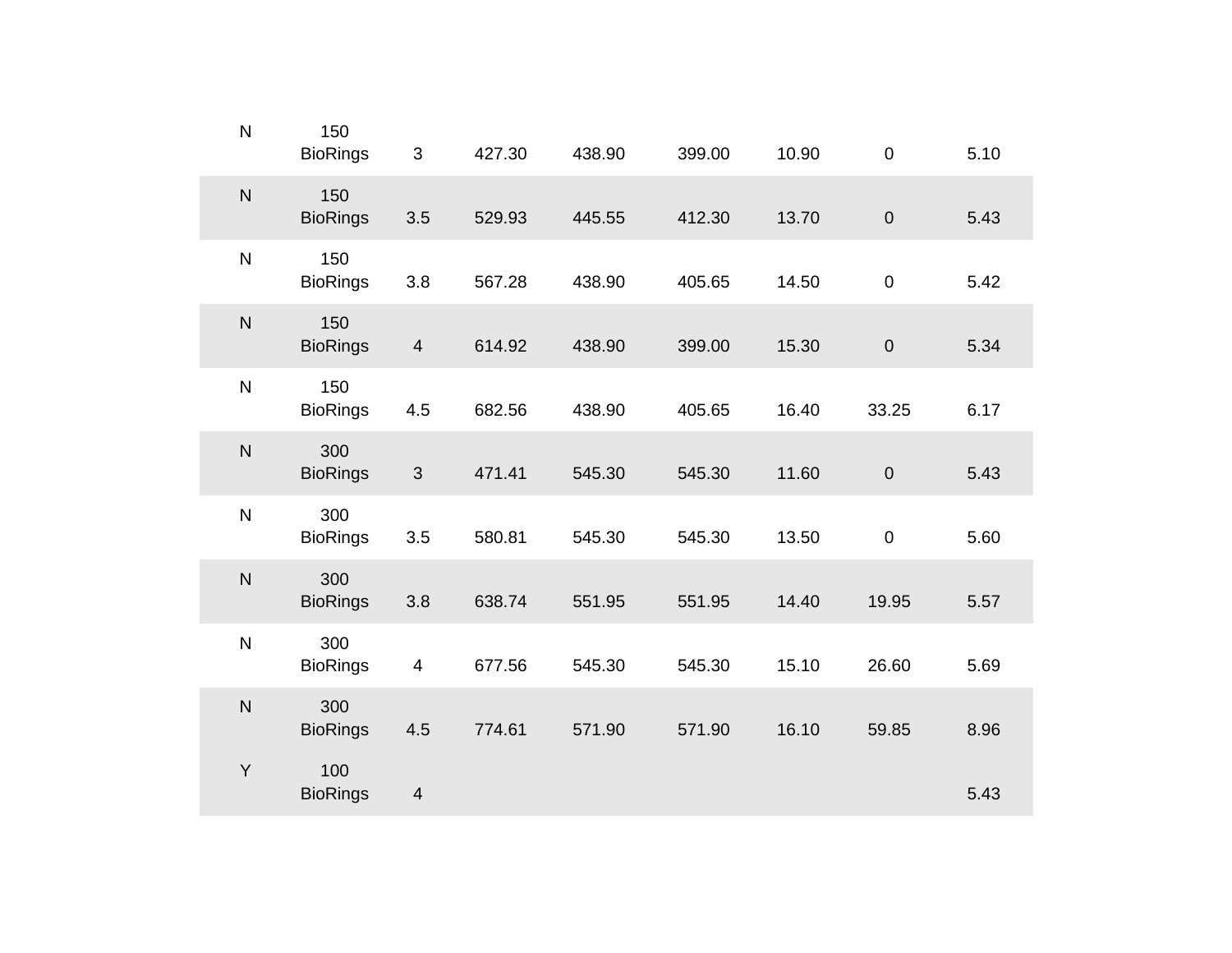| $\overline{\mathsf{N}}$ | 150<br><b>BioRings</b> | $\sqrt{3}$              | 427.30 | 438.90 | 399.00 | 10.90 | $\mathbf 0$ | 5.10 |
|-------------------------|------------------------|-------------------------|--------|--------|--------|-------|-------------|------|
| N                       | 150<br><b>BioRings</b> | 3.5                     | 529.93 | 445.55 | 412.30 | 13.70 | $\pmb{0}$   | 5.43 |
| $\overline{\mathsf{N}}$ | 150<br><b>BioRings</b> | 3.8                     | 567.28 | 438.90 | 405.65 | 14.50 | $\mathbf 0$ | 5.42 |
| N                       | 150<br><b>BioRings</b> | $\overline{4}$          | 614.92 | 438.90 | 399.00 | 15.30 | $\pmb{0}$   | 5.34 |
| $\overline{\mathsf{N}}$ | 150<br><b>BioRings</b> | 4.5                     | 682.56 | 438.90 | 405.65 | 16.40 | 33.25       | 6.17 |
| N                       | 300<br><b>BioRings</b> | $\mathfrak{S}$          | 471.41 | 545.30 | 545.30 | 11.60 | $\pmb{0}$   | 5.43 |
| $\overline{\mathsf{N}}$ | 300<br><b>BioRings</b> | 3.5                     | 580.81 | 545.30 | 545.30 | 13.50 | $\pmb{0}$   | 5.60 |
| $\overline{\mathsf{N}}$ | 300<br><b>BioRings</b> | 3.8                     | 638.74 | 551.95 | 551.95 | 14.40 | 19.95       | 5.57 |
| $\overline{N}$          | 300<br><b>BioRings</b> | $\overline{4}$          | 677.56 | 545.30 | 545.30 | 15.10 | 26.60       | 5.69 |
| N                       | 300<br><b>BioRings</b> | 4.5                     | 774.61 | 571.90 | 571.90 | 16.10 | 59.85       | 8.96 |
| Y                       | 100<br><b>BioRings</b> | $\overline{\mathbf{4}}$ |        |        |        |       |             | 5.43 |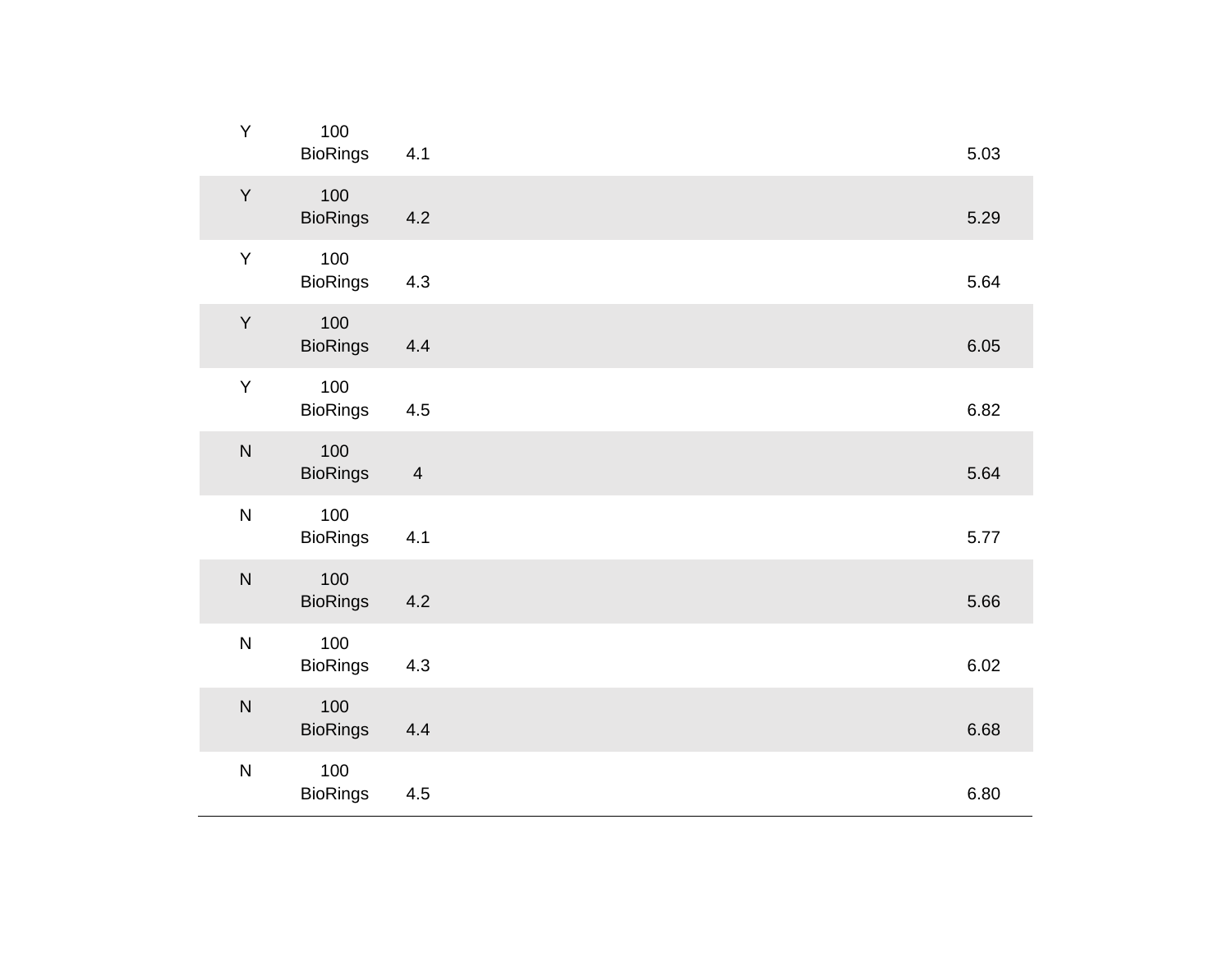| Y         | 100<br><b>BioRings</b> | 4.1                     |  | 5.03 |
|-----------|------------------------|-------------------------|--|------|
| Y         | 100<br><b>BioRings</b> | 4.2                     |  | 5.29 |
| Y         | 100<br><b>BioRings</b> | 4.3                     |  | 5.64 |
| Y         | 100<br><b>BioRings</b> | 4.4                     |  | 6.05 |
| $\sf Y$   | 100<br><b>BioRings</b> | 4.5                     |  | 6.82 |
| ${\sf N}$ | 100<br><b>BioRings</b> | $\overline{\mathbf{4}}$ |  | 5.64 |
| ${\sf N}$ | 100<br><b>BioRings</b> | 4.1                     |  | 5.77 |
| ${\sf N}$ | 100<br><b>BioRings</b> | 4.2                     |  | 5.66 |
| ${\sf N}$ | 100<br><b>BioRings</b> | 4.3                     |  | 6.02 |
| ${\sf N}$ | 100<br><b>BioRings</b> | 4.4                     |  | 6.68 |
| ${\sf N}$ | 100<br><b>BioRings</b> | 4.5                     |  | 6.80 |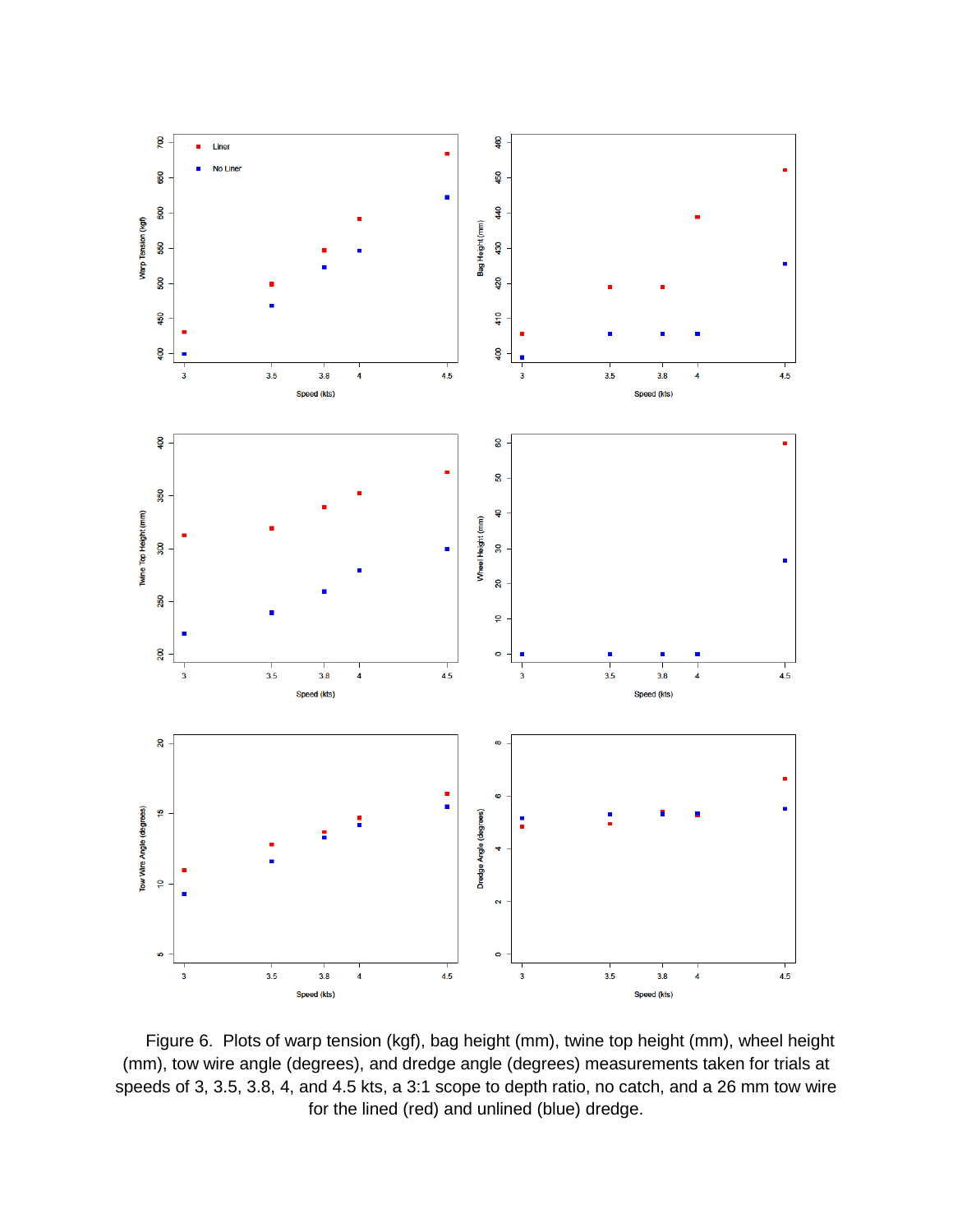

Figure 6. Plots of warp tension (kgf), bag height (mm), twine top height (mm), wheel height (mm), tow wire angle (degrees), and dredge angle (degrees) measurements taken for trials at speeds of 3, 3.5, 3.8, 4, and 4.5 kts, a 3:1 scope to depth ratio, no catch, and a 26 mm tow wire for the lined (red) and unlined (blue) dredge.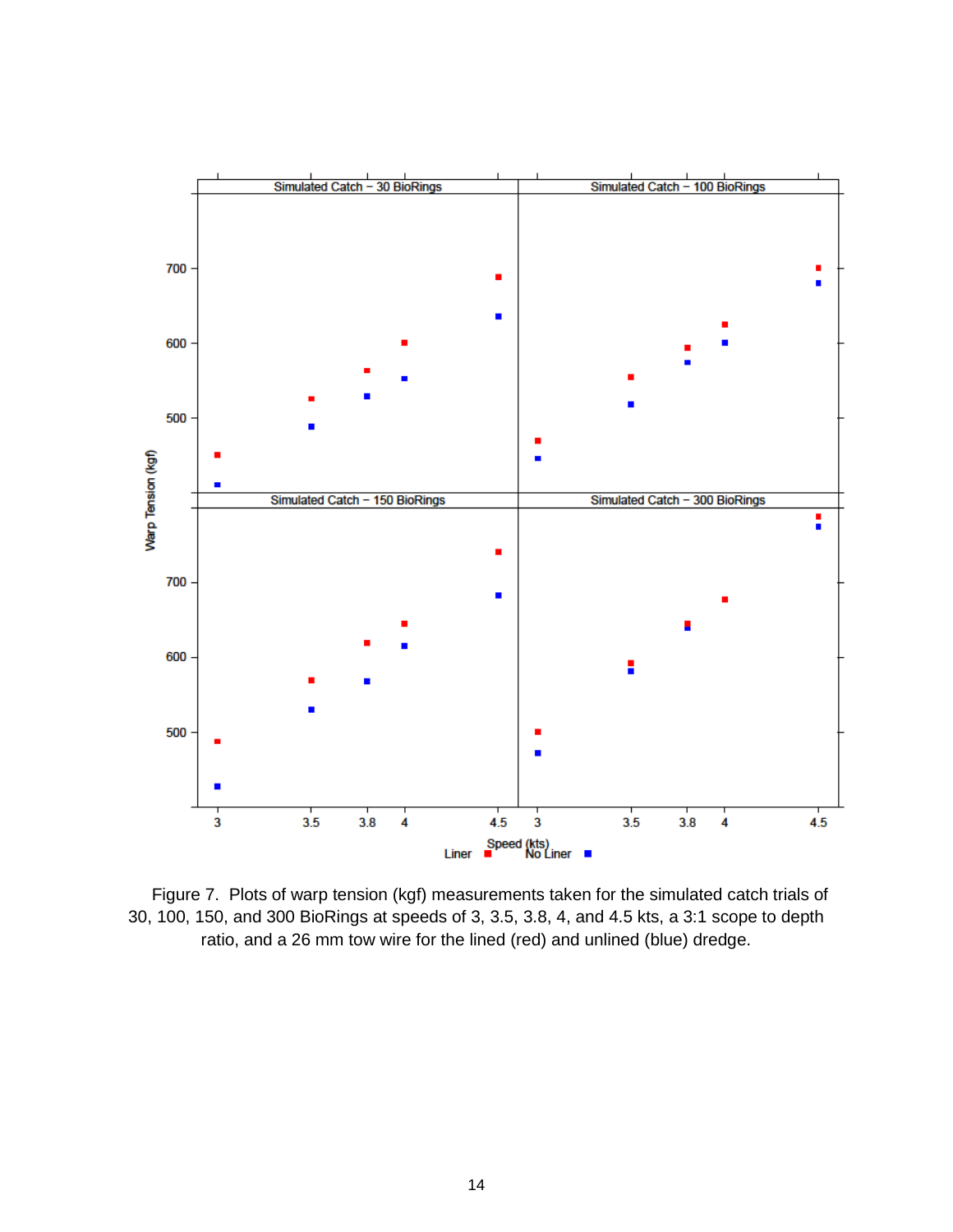

Figure 7. Plots of warp tension (kgf) measurements taken for the simulated catch trials of 30, 100, 150, and 300 BioRings at speeds of 3, 3.5, 3.8, 4, and 4.5 kts, a 3:1 scope to depth ratio, and a 26 mm tow wire for the lined (red) and unlined (blue) dredge.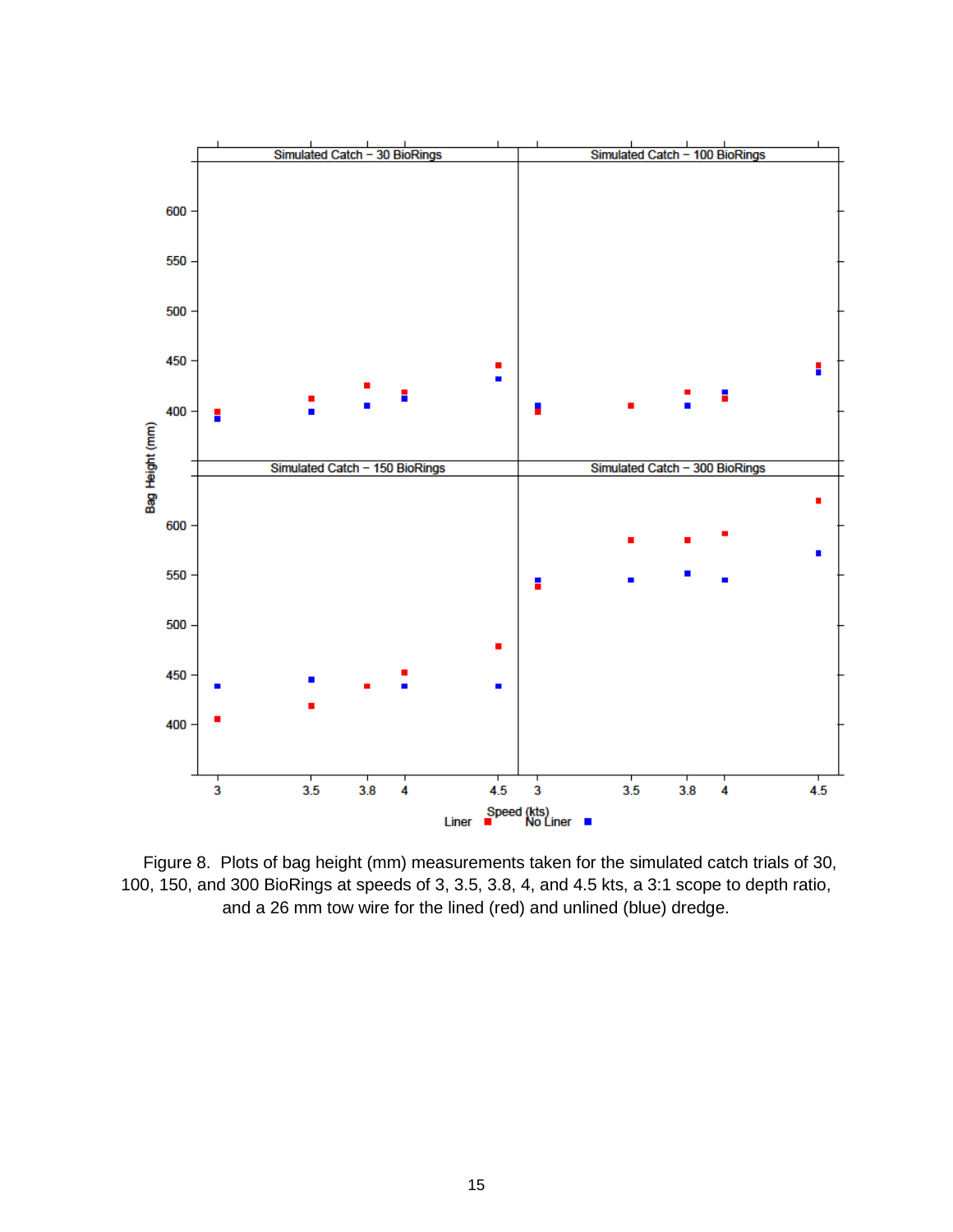

Figure 8. Plots of bag height (mm) measurements taken for the simulated catch trials of 30, 100, 150, and 300 BioRings at speeds of 3, 3.5, 3.8, 4, and 4.5 kts, a 3:1 scope to depth ratio, and a 26 mm tow wire for the lined (red) and unlined (blue) dredge.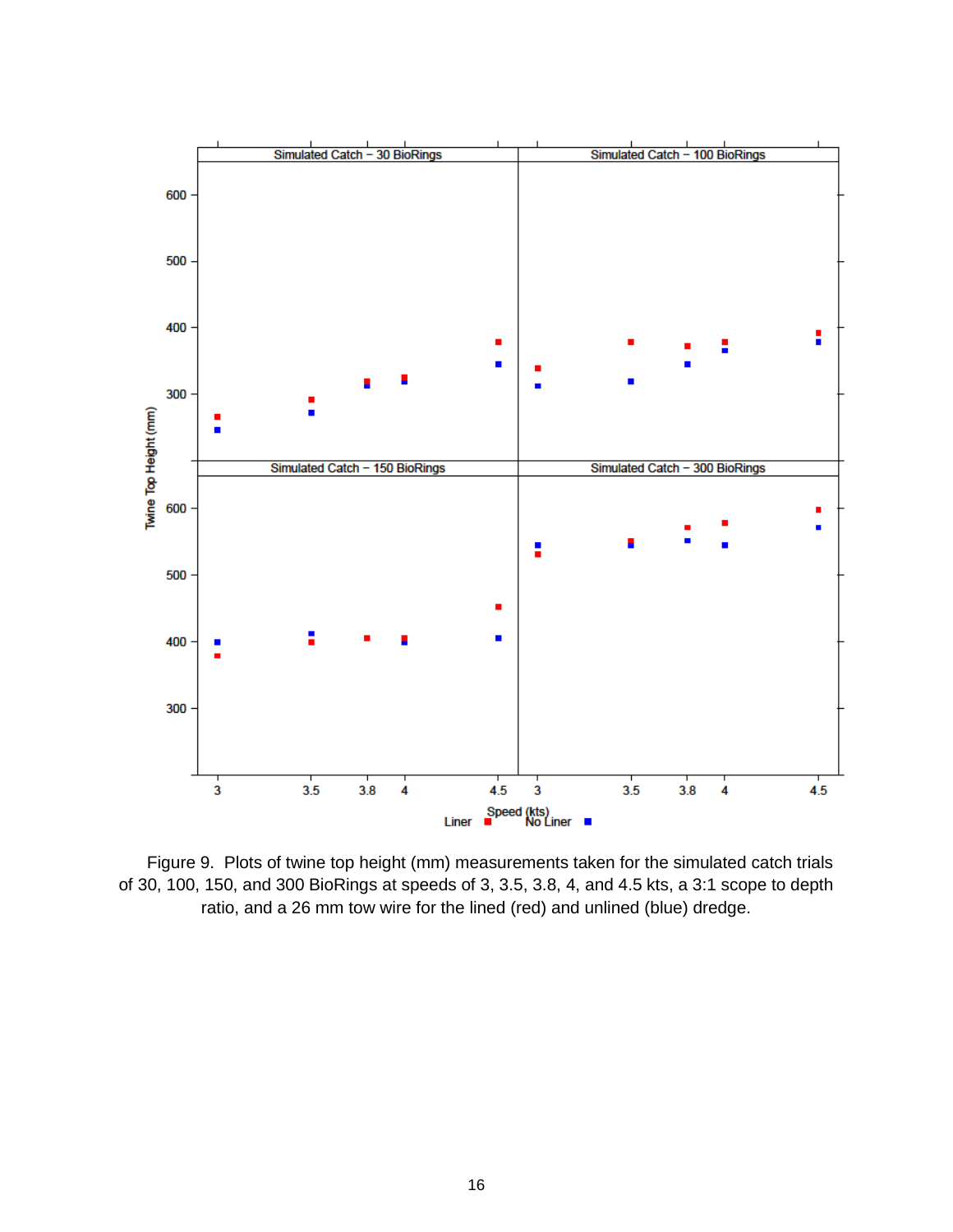

Figure 9. Plots of twine top height (mm) measurements taken for the simulated catch trials of 30, 100, 150, and 300 BioRings at speeds of 3, 3.5, 3.8, 4, and 4.5 kts, a 3:1 scope to depth ratio, and a 26 mm tow wire for the lined (red) and unlined (blue) dredge.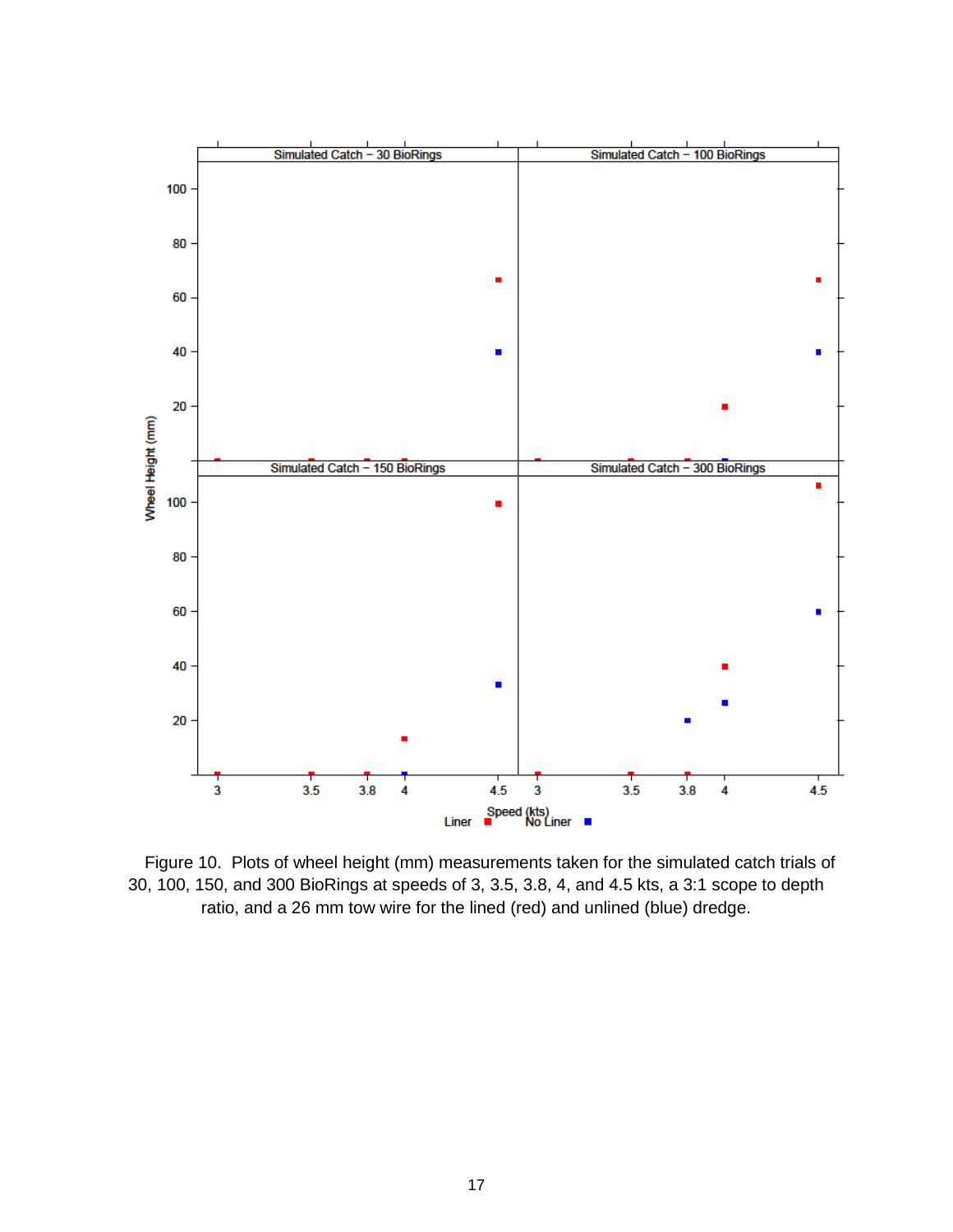

Figure 10. Plots of wheel height (mm) measurements taken for the simulated catch trials of 30, 100, 150, and 300 BioRings at speeds of 3, 3.5, 3.8, 4, and 4.5 kts, a 3:1 scope to depth ratio, and a 26 mm tow wire for the lined (red) and unlined (blue) dredge.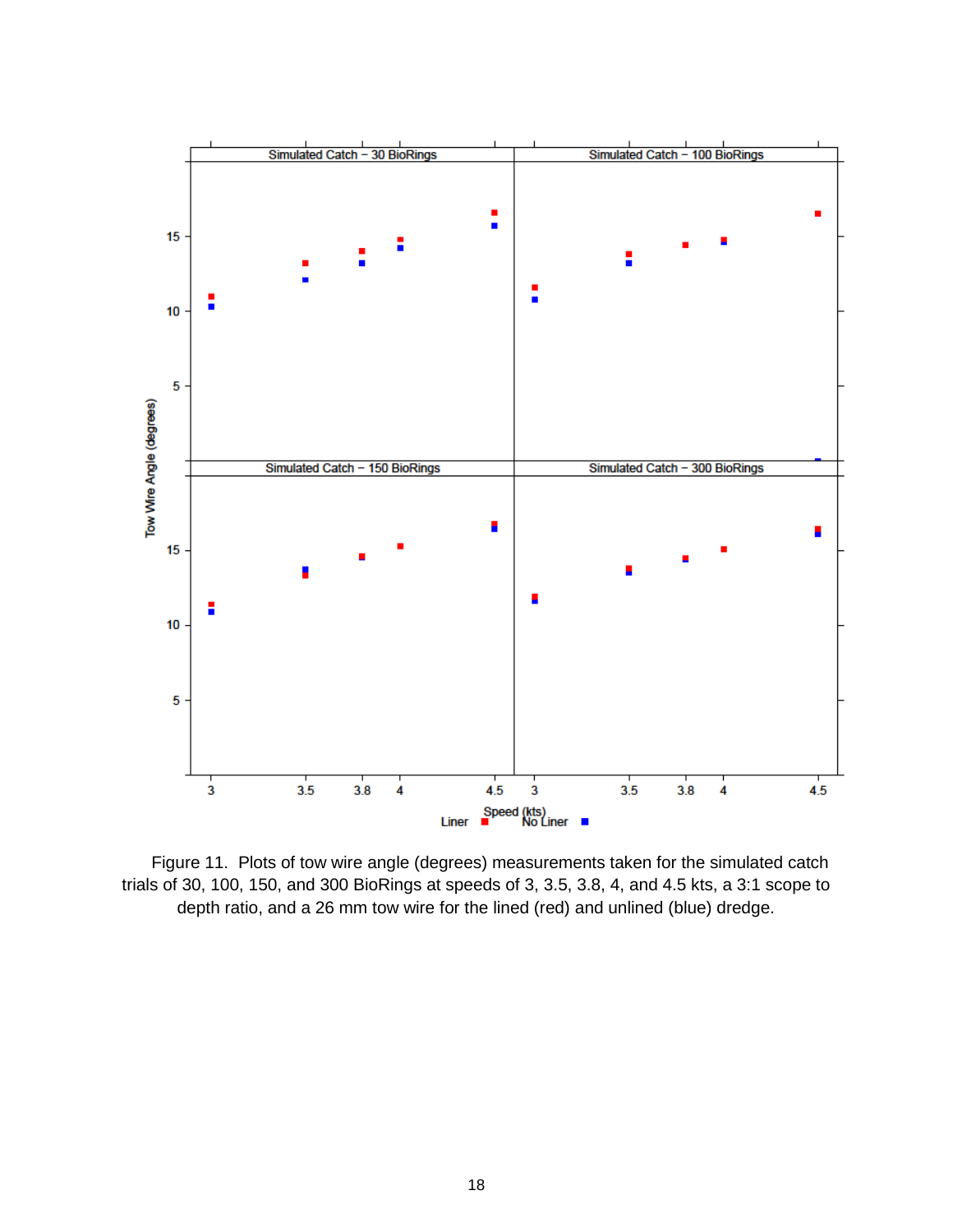

Figure 11. Plots of tow wire angle (degrees) measurements taken for the simulated catch trials of 30, 100, 150, and 300 BioRings at speeds of 3, 3.5, 3.8, 4, and 4.5 kts, a 3:1 scope to depth ratio, and a 26 mm tow wire for the lined (red) and unlined (blue) dredge.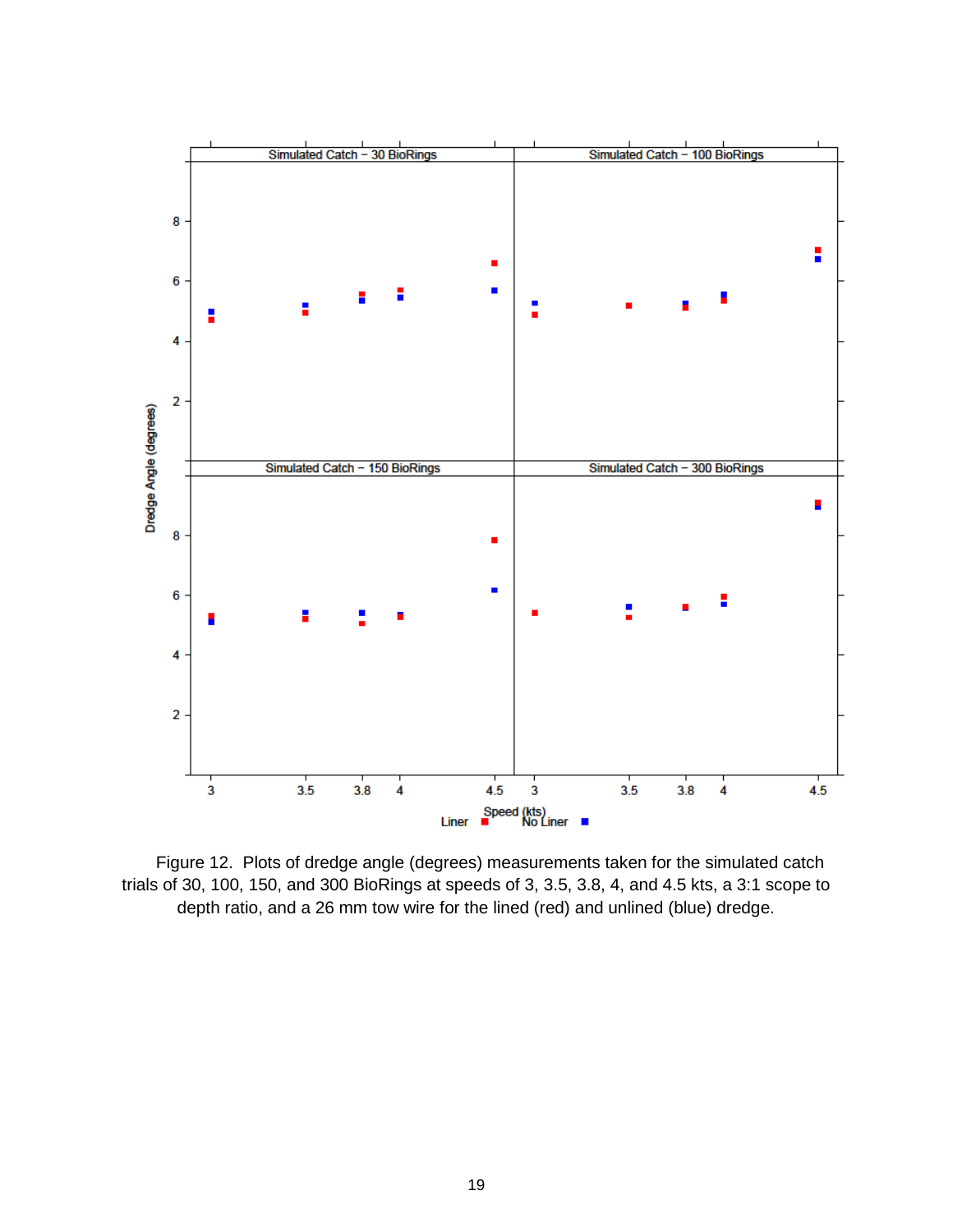

Figure 12. Plots of dredge angle (degrees) measurements taken for the simulated catch trials of 30, 100, 150, and 300 BioRings at speeds of 3, 3.5, 3.8, 4, and 4.5 kts, a 3:1 scope to depth ratio, and a 26 mm tow wire for the lined (red) and unlined (blue) dredge.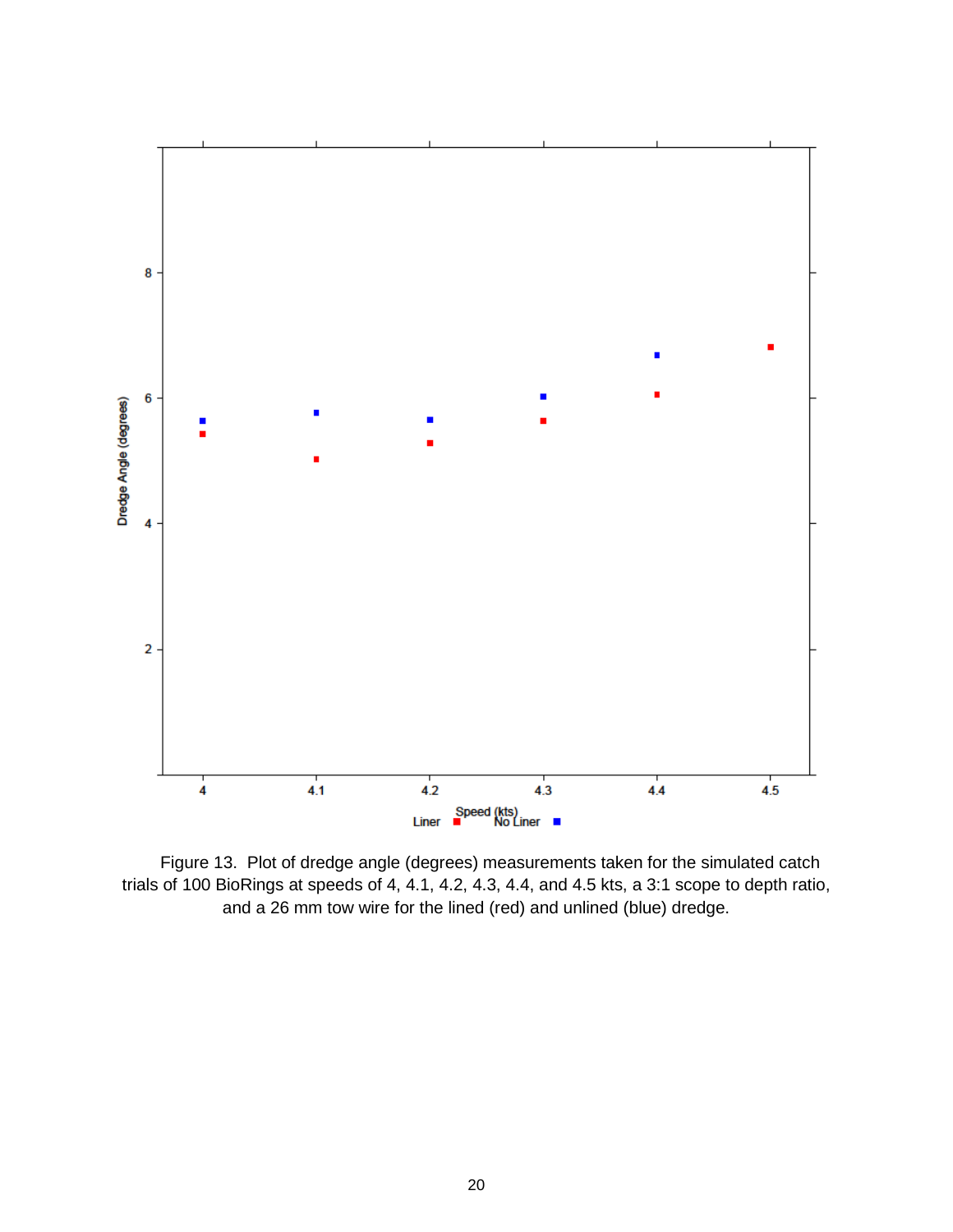

Figure 13. Plot of dredge angle (degrees) measurements taken for the simulated catch trials of 100 BioRings at speeds of 4, 4.1, 4.2, 4.3, 4.4, and 4.5 kts, a 3:1 scope to depth ratio, and a 26 mm tow wire for the lined (red) and unlined (blue) dredge.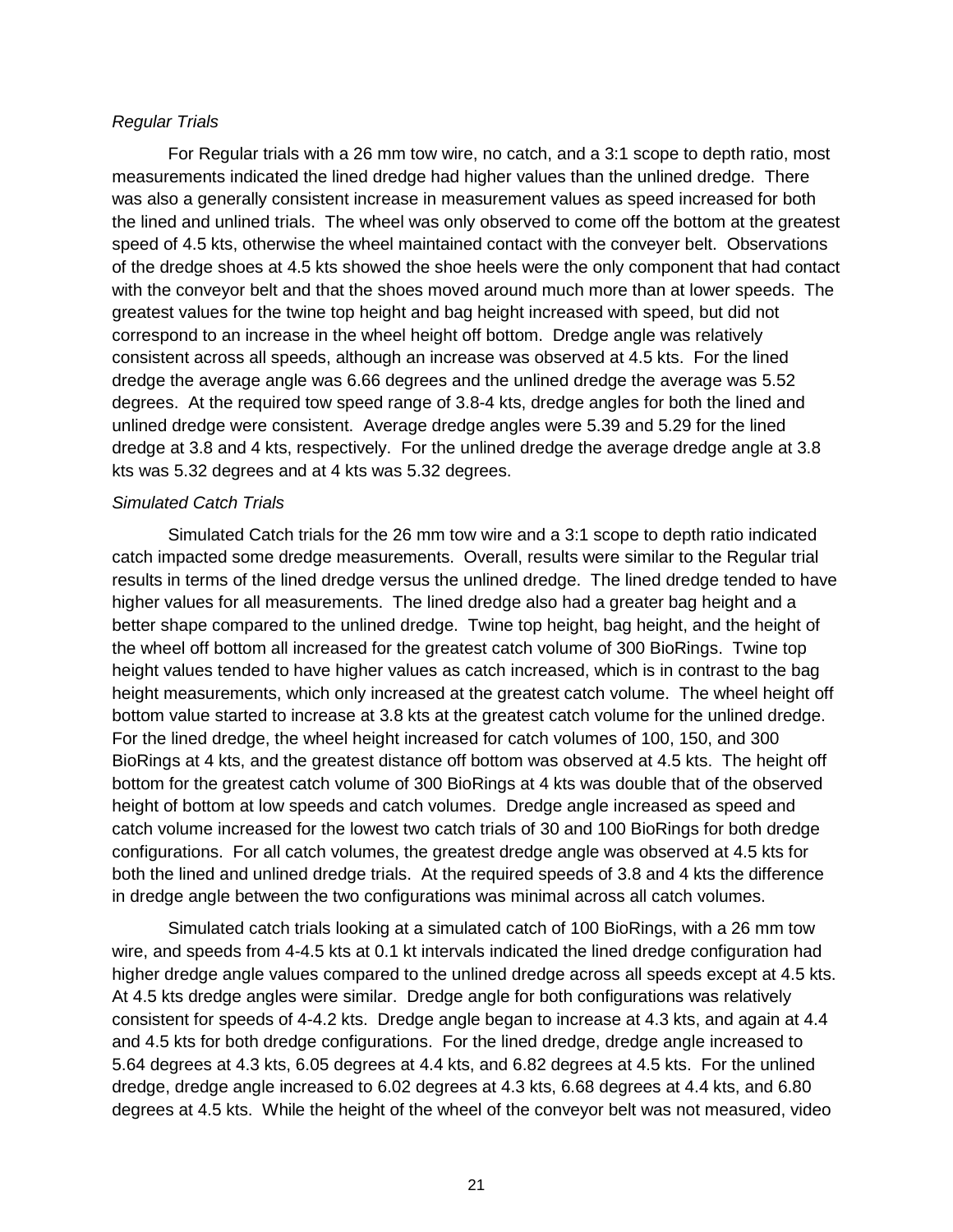#### *Regular Trials*

For Regular trials with a 26 mm tow wire, no catch, and a 3:1 scope to depth ratio, most measurements indicated the lined dredge had higher values than the unlined dredge. There was also a generally consistent increase in measurement values as speed increased for both the lined and unlined trials. The wheel was only observed to come off the bottom at the greatest speed of 4.5 kts, otherwise the wheel maintained contact with the conveyer belt. Observations of the dredge shoes at 4.5 kts showed the shoe heels were the only component that had contact with the conveyor belt and that the shoes moved around much more than at lower speeds. The greatest values for the twine top height and bag height increased with speed, but did not correspond to an increase in the wheel height off bottom. Dredge angle was relatively consistent across all speeds, although an increase was observed at 4.5 kts. For the lined dredge the average angle was 6.66 degrees and the unlined dredge the average was 5.52 degrees. At the required tow speed range of 3.8-4 kts, dredge angles for both the lined and unlined dredge were consistent. Average dredge angles were 5.39 and 5.29 for the lined dredge at 3.8 and 4 kts, respectively. For the unlined dredge the average dredge angle at 3.8 kts was 5.32 degrees and at 4 kts was 5.32 degrees.

#### *Simulated Catch Trials*

Simulated Catch trials for the 26 mm tow wire and a 3:1 scope to depth ratio indicated catch impacted some dredge measurements. Overall, results were similar to the Regular trial results in terms of the lined dredge versus the unlined dredge. The lined dredge tended to have higher values for all measurements. The lined dredge also had a greater bag height and a better shape compared to the unlined dredge. Twine top height, bag height, and the height of the wheel off bottom all increased for the greatest catch volume of 300 BioRings. Twine top height values tended to have higher values as catch increased, which is in contrast to the bag height measurements, which only increased at the greatest catch volume. The wheel height off bottom value started to increase at 3.8 kts at the greatest catch volume for the unlined dredge. For the lined dredge, the wheel height increased for catch volumes of 100, 150, and 300 BioRings at 4 kts, and the greatest distance off bottom was observed at 4.5 kts. The height off bottom for the greatest catch volume of 300 BioRings at 4 kts was double that of the observed height of bottom at low speeds and catch volumes. Dredge angle increased as speed and catch volume increased for the lowest two catch trials of 30 and 100 BioRings for both dredge configurations. For all catch volumes, the greatest dredge angle was observed at 4.5 kts for both the lined and unlined dredge trials. At the required speeds of 3.8 and 4 kts the difference in dredge angle between the two configurations was minimal across all catch volumes.

Simulated catch trials looking at a simulated catch of 100 BioRings, with a 26 mm tow wire, and speeds from 4-4.5 kts at 0.1 kt intervals indicated the lined dredge configuration had higher dredge angle values compared to the unlined dredge across all speeds except at 4.5 kts. At 4.5 kts dredge angles were similar. Dredge angle for both configurations was relatively consistent for speeds of 4-4.2 kts. Dredge angle began to increase at 4.3 kts, and again at 4.4 and 4.5 kts for both dredge configurations. For the lined dredge, dredge angle increased to 5.64 degrees at 4.3 kts, 6.05 degrees at 4.4 kts, and 6.82 degrees at 4.5 kts. For the unlined dredge, dredge angle increased to 6.02 degrees at 4.3 kts, 6.68 degrees at 4.4 kts, and 6.80 degrees at 4.5 kts. While the height of the wheel of the conveyor belt was not measured, video